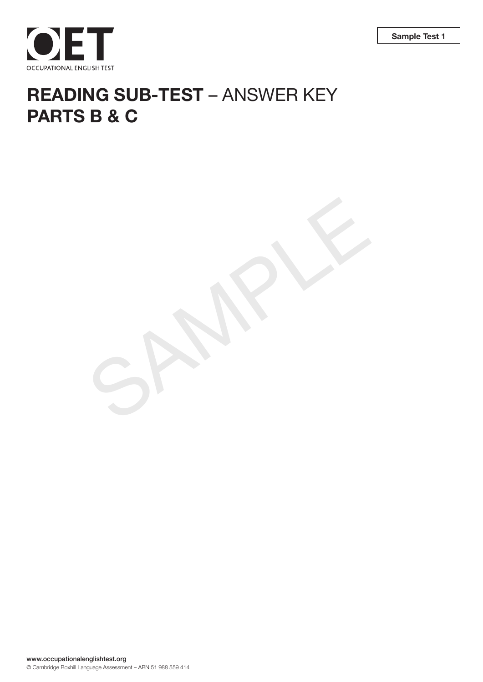

# **READING SUB-TEST** – ANSWER KEY **PARTS B & C**

SAMPLE